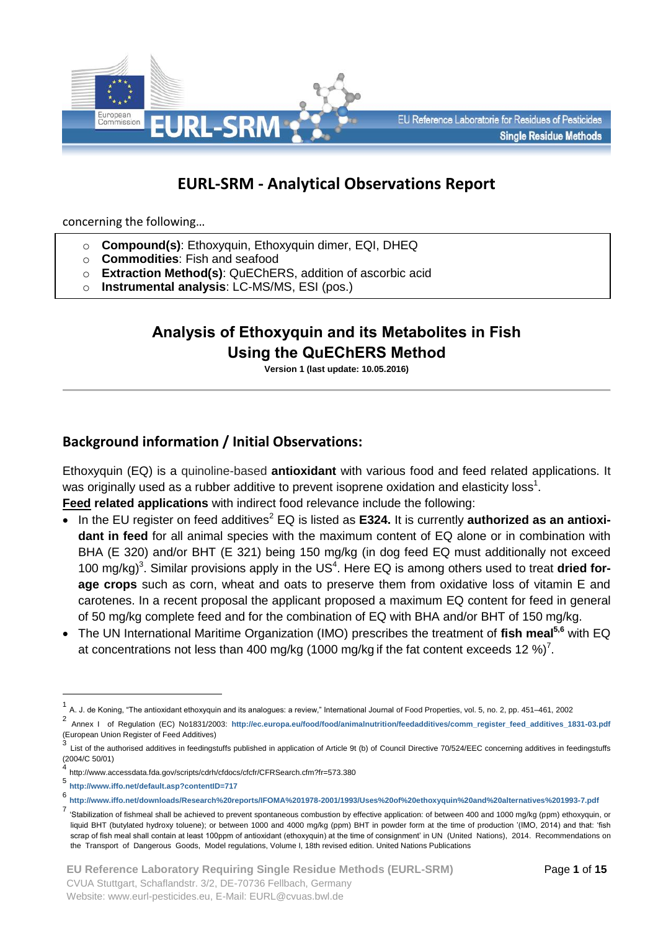

# **EURL-SRM - Analytical Observations Report**

concerning the following…

- o **Compound(s)**: Ethoxyquin, Ethoxyquin dimer, EQI, DHEQ
- o **Commodities**: Fish and seafood
- o **Extraction Method(s)**: QuEChERS, addition of ascorbic acid
- o **Instrumental analysis**: LC-MS/MS, ESI (pos.)

# **Analysis of Ethoxyquin and its Metabolites in Fish Using the QuEChERS Method**

**Version 1 (last update: 10.05.2016)**

# **Background information / Initial Observations:**

Ethoxyquin (EQ) is a quinoline-based **antioxidant** with various food and feed related applications. It was originally used as a rubber additive to prevent isoprene oxidation and elasticity loss<sup>1</sup>.

- **Feed related applications** with indirect food relevance include the following:
- In the EU register on feed additives<sup>2</sup> EQ is listed as **E324.** It is currently **authorized as an antioxidant in feed** for all animal species with the maximum content of EQ alone or in combination with BHA (E 320) and/or BHT (E 321) being 150 mg/kg (in dog feed EQ must additionally not exceed 100 mg/kg)<sup>3</sup>. Similar provisions apply in the US<sup>4</sup>. Here EQ is among others used to treat dried for**age crops** such as corn, wheat and oats to preserve them from oxidative loss of vitamin E and carotenes. In a recent proposal the applicant proposed a maximum EQ content for feed in general of 50 mg/kg complete feed and for the combination of EQ with BHA and/or BHT of 150 mg/kg.
- The UN International Maritime Organization (IMO) prescribes the treatment of **fish meal5,6** with EQ at concentrations not less than 400 mg/kg (1000 mg/kg if the fat content exceeds 12 %)<sup>7</sup>.

<u>.</u>

<sup>1</sup> A. J. de Koning, "The antioxidant ethoxyquin and its analogues: a review," International Journal of Food Properties, vol. 5, no. 2, pp. 451–461, 2002

<sup>2</sup> Annex I of Regulation (EC) No1831/2003: [http://ec.europa.eu/food/food/animalnutrition/feedadditives/comm\\_register\\_feed\\_additives\\_1831-03.pdf](http://ec.europa.eu/food/food/animalnutrition/feedadditives/comm_register_feed_additives_1831-03.pdf) (European Union Register of Feed Additives)

<sup>3</sup> List of the authorised additives in feedingstuffs published in application of Article 9t (b) of Council Directive 70/524/EEC concerning additives in feedingstuffs (2004/C 50/01)

<sup>4</sup> http://www.accessdata.fda.gov/scripts/cdrh/cfdocs/cfcfr/CFRSearch.cfm?fr=573.380

<sup>5</sup> **<http://www.iffo.net/default.asp?contentID=717>**

<sup>6</sup> **<http://www.iffo.net/downloads/Research%20reports/IFOMA%201978-2001/1993/Uses%20of%20ethoxyquin%20and%20alternatives%201993-7.pdf>**

<sup>7</sup> 'Stabilization of fishmeal shall be achieved to prevent spontaneous combustion by effective application: of between 400 and 1000 mg/kg (ppm) ethoxyquin, or liquid BHT (butylated hydroxy toluene); or between 1000 and 4000 mg/kg (ppm) BHT in powder form at the time of production '(IMO, 2014) and that: 'fish scrap of fish meal shall contain at least 100ppm of antioxidant (ethoxyquin) at the time of consignment' in UN (United Nations), 2014. Recommendations on the Transport of Dangerous Goods, Model regulations, Volume I, 18th revised edition. United Nations Publications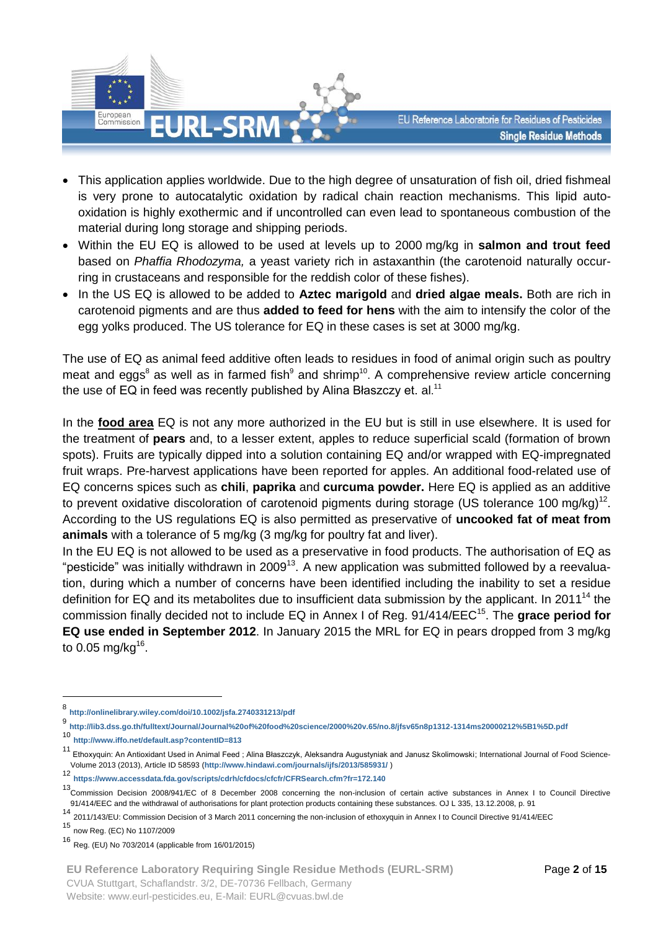

- This application applies worldwide. Due to the high degree of unsaturation of fish oil, dried fishmeal is very prone to autocatalytic oxidation by radical chain reaction mechanisms. This lipid autooxidation is highly exothermic and if uncontrolled can even lead to spontaneous combustion of the material during long storage and shipping periods.
- Within the EU EQ is allowed to be used at levels up to 2000 mg/kg in **salmon and trout feed** based on *Phaffia Rhodozyma,* a yeast variety rich in astaxanthin (the carotenoid naturally occurring in crustaceans and responsible for the reddish color of these fishes).
- In the US EQ is allowed to be added to **Aztec marigold** and **dried algae meals.** Both are rich in carotenoid pigments and are thus **added to feed for hens** with the aim to intensify the color of the egg yolks produced. The US tolerance for EQ in these cases is set at 3000 mg/kg.

The use of EQ as animal feed additive often leads to residues in food of animal origin such as poultry meat and eggs<sup>8</sup> as well as in farmed fish<sup>9</sup> and shrimp<sup>10</sup>. A comprehensive review article concerning the use of EQ in feed was recently published by Alina Błaszczy et. al. $^{11}$ 

In the **food area** EQ is not any more authorized in the EU but is still in use elsewhere. It is used for the treatment of **pears** and, to a lesser extent, apples to reduce superficial scald (formation of brown spots). Fruits are typically dipped into a solution containing EQ and/or wrapped with EQ-impregnated fruit wraps. Pre-harvest applications have been reported for apples. An additional food-related use of EQ concerns spices such as **chili**, **paprika** and **curcuma powder.** Here EQ is applied as an additive to prevent oxidative discoloration of carotenoid pigments during storage (US tolerance 100 mg/kg)<sup>12</sup>. According to the US regulations EQ is also permitted as preservative of **uncooked fat of meat from animals** with a tolerance of 5 mg/kg (3 mg/kg for poultry fat and liver).

In the EU EQ is not allowed to be used as a preservative in food products. The authorisation of EQ as "pesticide" was initially withdrawn in 2009<sup>13</sup>. A new application was submitted followed by a reevaluation, during which a number of concerns have been identified including the inability to set a residue definition for EQ and its metabolites due to insufficient data submission by the applicant. In 2011<sup>14</sup> the commission finally decided not to include EQ in Annex I of Reg. 91/414/EEC<sup>15</sup>. The grace period for **EQ use ended in September 2012**. In January 2015 the MRL for EQ in pears dropped from 3 mg/kg to 0.05 mg/kg<sup>16</sup>.

<sup>10</sup> **<http://www.iffo.net/default.asp?contentID=813>**

<u>.</u>

**EU Reference Laboratory Requiring Single Residue Methods (EURL-SRM)** CVUA Stuttgart, Schaflandstr. 3/2, DE-70736 Fellbach, Germany

<sup>8&</sup>lt;br>**8 <http://onlinelibrary.wiley.com/doi/10.1002/jsfa.2740331213/pdf>**<br>9 *yra - William Hill, and Hill, and Hill, and Sickey William Hill, and Hill, and Hill, and Hill, and Hill, and Hill* 

**<http://lib3.dss.go.th/fulltext/Journal/Journal%20of%20food%20science/2000%20v.65/no.8/jfsv65n8p1312-1314ms20000212%5B1%5D.pdf>**

<sup>11</sup> Ethoxyquin: An Antioxidant Used in Animal Feed ; Alina Błaszczyk, Aleksandra Augustyniak and Janusz Skolimowski; International Journal of Food Science-Volume 2013 (2013), Article ID 58593 (**<http://www.hindawi.com/journals/ijfs/2013/585931/>** )

<sup>12</sup> **<https://www.accessdata.fda.gov/scripts/cdrh/cfdocs/cfcfr/CFRSearch.cfm?fr=172.140>**

<sup>13</sup>Commission Decision 2008/941/EC of 8 December 2008 concerning the non-inclusion of certain active substances in Annex I to Council Directive 91/414/EEC and the withdrawal of authorisations for plant protection products containing these substances. OJ L 335, 13.12.2008, p. 91

<sup>14</sup> 2011/143/EU: Commission Decision of 3 March 2011 concerning the non-inclusion of ethoxyquin in Annex I to Council Directive 91/414/EEC

<sup>15</sup> now Reg. (EC) No 1107/2009

<sup>16</sup> Reg. (EU) No 703/2014 (applicable from 16/01/2015)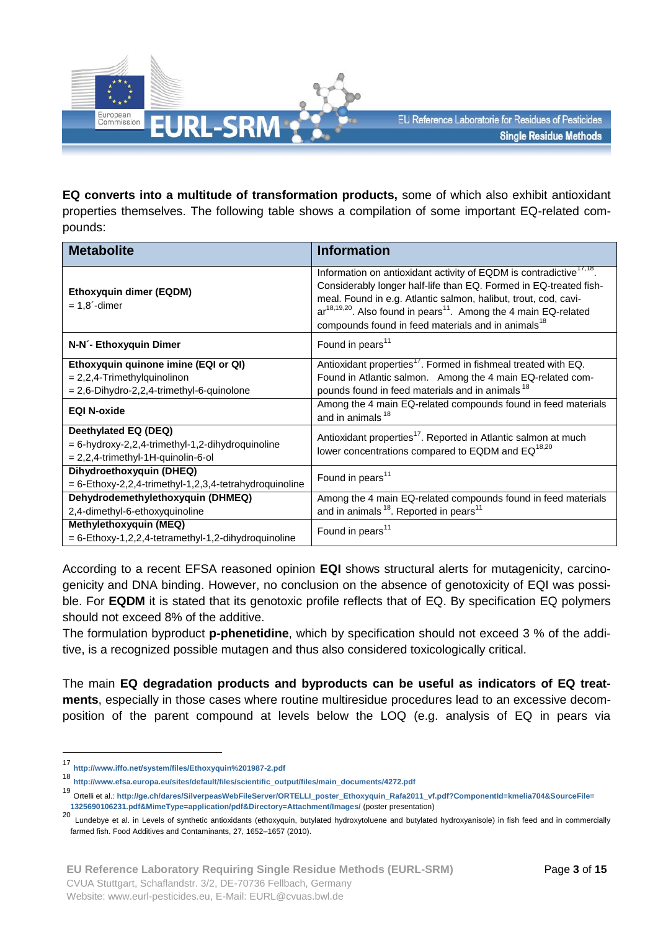

**EQ converts into a multitude of transformation products,** some of which also exhibit antioxidant properties themselves. The following table shows a compilation of some important EQ-related compounds:

| <b>Metabolite</b>                                                                                                      | <b>Information</b>                                                                                                                                                                                                                                                                                                                                                             |
|------------------------------------------------------------------------------------------------------------------------|--------------------------------------------------------------------------------------------------------------------------------------------------------------------------------------------------------------------------------------------------------------------------------------------------------------------------------------------------------------------------------|
| Ethoxyquin dimer (EQDM)<br>$= 1.8$ -dimer                                                                              | Information on antioxidant activity of EQDM is contradictive <sup>17,18</sup> .<br>Considerably longer half-life than EQ. Formed in EQ-treated fish-<br>meal. Found in e.g. Atlantic salmon, halibut, trout, cod, cavi-<br>$ar^{18,19,20}$ . Also found in pears <sup>11</sup> . Among the 4 main EQ-related<br>compounds found in feed materials and in animals <sup>18</sup> |
| N-N'- Ethoxyquin Dimer                                                                                                 | Found in pears <sup>11</sup>                                                                                                                                                                                                                                                                                                                                                   |
| Ethoxyquin quinone imine (EQI or QI)<br>$= 2,2,4$ -Trimethylquinolinon<br>$= 2,6$ -Dihydro-2,2,4-trimethyl-6-quinolone | Antioxidant properties <sup>17</sup> . Formed in fishmeal treated with EQ.<br>Found in Atlantic salmon. Among the 4 main EQ-related com-<br>pounds found in feed materials and in animals <sup>18</sup>                                                                                                                                                                        |
| <b>EQI N-oxide</b>                                                                                                     | Among the 4 main EQ-related compounds found in feed materials<br>and in animals <sup>18</sup>                                                                                                                                                                                                                                                                                  |
| Deethylated EQ (DEQ)<br>= 6-hydroxy-2,2,4-trimethyl-1,2-dihydroquinoline<br>$= 2,2,4$ -trimethyl-1H-quinolin-6-ol      | Antioxidant properties <sup>17</sup> . Reported in Atlantic salmon at much<br>lower concentrations compared to EQDM and EQ <sup>18,20</sup>                                                                                                                                                                                                                                    |
| Dihydroethoxyquin (DHEQ)<br>$= 6$ -Ethoxy-2,2,4-trimethyl-1,2,3,4-tetrahydroquinoline                                  | Found in pears <sup>11</sup>                                                                                                                                                                                                                                                                                                                                                   |
| Dehydrodemethylethoxyquin (DHMEQ)<br>2,4-dimethyl-6-ethoxyquinoline                                                    | Among the 4 main EQ-related compounds found in feed materials<br>and in animals <sup>18</sup> . Reported in pears <sup>11</sup>                                                                                                                                                                                                                                                |
| Methylethoxyquin (MEQ)<br>$= 6$ -Ethoxy-1,2,2,4-tetramethyl-1,2-dihydroquinoline                                       | Found in pears <sup>11</sup>                                                                                                                                                                                                                                                                                                                                                   |

According to a recent EFSA reasoned opinion **EQI** shows structural alerts for mutagenicity, carcinogenicity and DNA binding. However, no conclusion on the absence of genotoxicity of EQI was possible. For **EQDM** it is stated that its genotoxic profile reflects that of EQ. By specification EQ polymers should not exceed 8% of the additive.

The formulation byproduct **p-phenetidine**, which by specification should not exceed 3 % of the additive, is a recognized possible mutagen and thus also considered toxicologically critical.

The main **EQ degradation products and byproducts can be useful as indicators of EQ treatments**, especially in those cases where routine multiresidue procedures lead to an excessive decomposition of the parent compound at levels below the LOQ (e.g. analysis of EQ in pears via

<sup>17</sup> **<http://www.iffo.net/system/files/Ethoxyquin%201987-2.pdf>**

<sup>18</sup> **[http://www.efsa.europa.eu/sites/default/files/scientific\\_output/files/main\\_documents/4272.pdf](http://www.efsa.europa.eu/sites/default/files/scientific_output/files/main_documents/4272.pdf)**

<sup>19</sup> Ortelli et al.: **[http://ge.ch/dares/SilverpeasWebFileServer/ORTELLI\\_poster\\_Ethoxyquin\\_Rafa2011\\_vf.pdf?ComponentId=kmelia704&SourceFile=](http://ge.ch/dares/SilverpeasWebFileServer/ORTELLI_poster_Ethoxyquin_Rafa2011_vf.pdf?ComponentId=kmelia704&SourceFile=%0b1325690106231.pdf&MimeType=application/pdf&Directory=Attachment/Images/) [1325690106231.pdf&MimeType=application/pdf&Directory=Attachment/Images/](http://ge.ch/dares/SilverpeasWebFileServer/ORTELLI_poster_Ethoxyquin_Rafa2011_vf.pdf?ComponentId=kmelia704&SourceFile=%0b1325690106231.pdf&MimeType=application/pdf&Directory=Attachment/Images/)** (poster presentation)

<sup>20</sup> Lundebye et al. in Levels of synthetic antioxidants (ethoxyquin, butylated hydroxytoluene and butylated hydroxyanisole) in fish feed and in commercially farmed fish. Food Additives and Contaminants, 27, 1652–1657 (2010).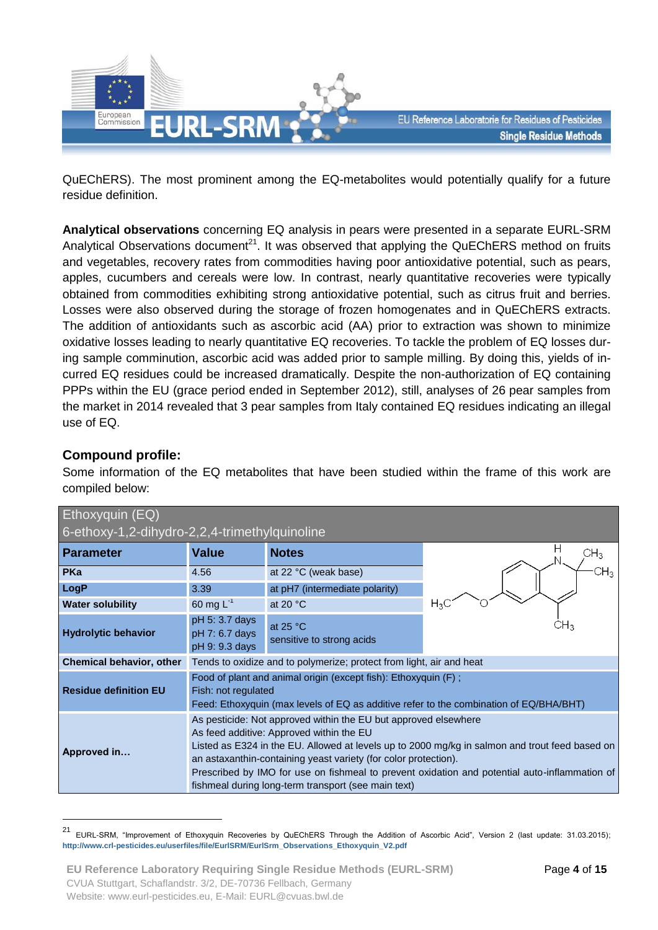

QuEChERS). The most prominent among the EQ-metabolites would potentially qualify for a future residue definition.

**Analytical observations** concerning EQ analysis in pears were presented in a separate EURL-SRM Analytical Observations document<sup>21</sup>. It was observed that applying the QuEChERS method on fruits and vegetables, recovery rates from commodities having poor antioxidative potential, such as pears, apples, cucumbers and cereals were low. In contrast, nearly quantitative recoveries were typically obtained from commodities exhibiting strong antioxidative potential, such as citrus fruit and berries. Losses were also observed during the storage of frozen homogenates and in QuEChERS extracts. The addition of antioxidants such as ascorbic acid (AA) prior to extraction was shown to minimize oxidative losses leading to nearly quantitative EQ recoveries. To tackle the problem of EQ losses during sample comminution, ascorbic acid was added prior to sample milling. By doing this, yields of incurred EQ residues could be increased dramatically. Despite the non-authorization of EQ containing PPPs within the EU (grace period ended in September 2012), still, analyses of 26 pear samples from the market in 2014 revealed that 3 pear samples from Italy contained EQ residues indicating an illegal use of EQ.

## **Compound profile:**

1

Some information of the EQ metabolites that have been studied within the frame of this work are compiled below:

| Ethoxyquin (EQ)                               |                                                                                                                                                                                                                                                                                                                                                                                                                                          |                                         |         |  |  |
|-----------------------------------------------|------------------------------------------------------------------------------------------------------------------------------------------------------------------------------------------------------------------------------------------------------------------------------------------------------------------------------------------------------------------------------------------------------------------------------------------|-----------------------------------------|---------|--|--|
| 6-ethoxy-1,2-dihydro-2,2,4-trimethylquinoline |                                                                                                                                                                                                                                                                                                                                                                                                                                          |                                         |         |  |  |
| <b>Parameter</b>                              | <b>Value</b>                                                                                                                                                                                                                                                                                                                                                                                                                             | <b>Notes</b>                            | ⊃Нз     |  |  |
| <b>PKa</b>                                    | 4.56                                                                                                                                                                                                                                                                                                                                                                                                                                     | at 22 °C (weak base)                    |         |  |  |
| LogP                                          | 3.39                                                                                                                                                                                                                                                                                                                                                                                                                                     | at pH7 (intermediate polarity)          |         |  |  |
| <b>Water solubility</b>                       | 60 mg $L^{-1}$                                                                                                                                                                                                                                                                                                                                                                                                                           | at 20 $\degree$ C                       | $H_{3}$ |  |  |
| <b>Hydrolytic behavior</b>                    | pH 5: 3.7 days<br>pH 7: 6.7 days<br>pH 9: 9.3 days                                                                                                                                                                                                                                                                                                                                                                                       | at $25 °C$<br>sensitive to strong acids |         |  |  |
| <b>Chemical behavior, other</b>               | Tends to oxidize and to polymerize; protect from light, air and heat                                                                                                                                                                                                                                                                                                                                                                     |                                         |         |  |  |
| <b>Residue definition EU</b>                  | Food of plant and animal origin (except fish): Ethoxyquin (F);<br>Fish: not regulated<br>Feed: Ethoxyquin (max levels of EQ as additive refer to the combination of EQ/BHA/BHT)                                                                                                                                                                                                                                                          |                                         |         |  |  |
| Approved in                                   | As pesticide: Not approved within the EU but approved elsewhere<br>As feed additive: Approved within the EU<br>Listed as E324 in the EU. Allowed at levels up to 2000 mg/kg in salmon and trout feed based on<br>an astaxanthin-containing yeast variety (for color protection).<br>Prescribed by IMO for use on fishmeal to prevent oxidation and potential auto-inflammation of<br>fishmeal during long-term transport (see main text) |                                         |         |  |  |

<sup>&</sup>lt;sup>21</sup> EURL-SRM, "Improvement of Ethoxyquin Recoveries by QuEChERS Through the Addition of Ascorbic Acid", Version 2 (last update: 31.03.2015); **[http://www.crl-pesticides.eu/userfiles/file/EurlSRM/EurlSrm\\_Observations\\_Ethoxyquin\\_V2.pdf](http://www.crl-pesticides.eu/userfiles/file/EurlSRM/EurlSrm_Observations_Ethoxyquin_V2.pdf)**

**EU Reference Laboratory Requiring Single Residue Methods (EURL-SRM)** CVUA Stuttgart, Schaflandstr. 3/2, DE-70736 Fellbach, Germany Website: www.eurl-pesticides.eu, E-Mail: EURL@cvuas.bwl.de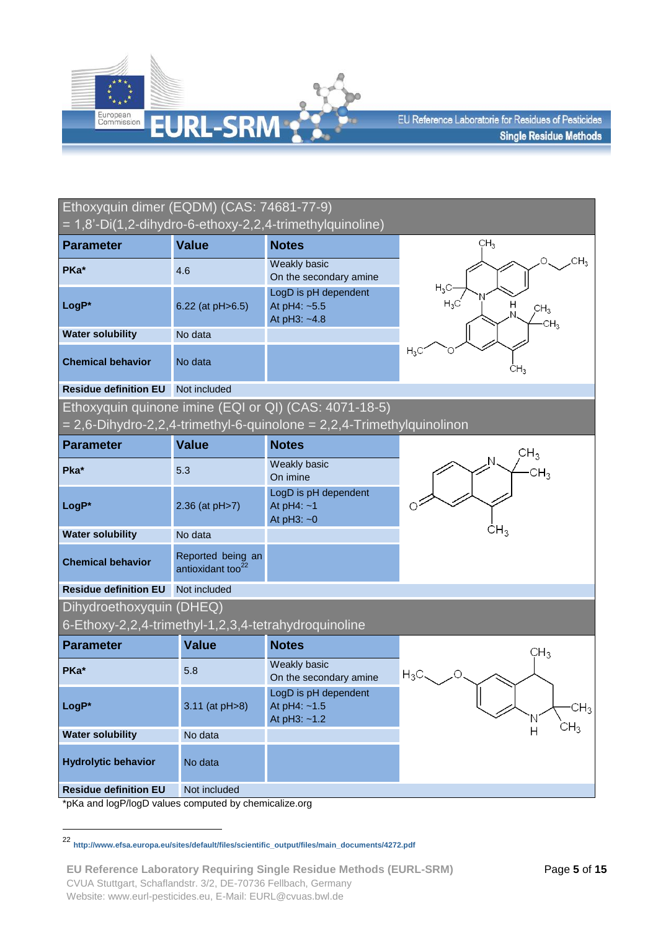

| Ethoxyquin dimer (EQDM) (CAS: 74681-77-9)            |                                                    | = 1,8'-Di(1,2-dihydro-6-ethoxy-2,2,4-trimethylquinoline)              |                                                        |
|------------------------------------------------------|----------------------------------------------------|-----------------------------------------------------------------------|--------------------------------------------------------|
| <b>Parameter</b>                                     | <b>Value</b>                                       | <b>Notes</b>                                                          | CH <sub>3</sub>                                        |
| PKa*                                                 | 4.6                                                | <b>Weakly basic</b><br>On the secondary amine                         | CH <sub>3</sub><br>O                                   |
| LogP*                                                | 6.22 (at pH>6.5)                                   | LogD is pH dependent<br>At pH4: ~5.5<br>At pH3: ~4.8                  | $H_3C$<br>$H_3C$<br>CH <sub>3</sub><br>CH <sub>3</sub> |
| <b>Water solubility</b>                              | No data                                            |                                                                       |                                                        |
| <b>Chemical behavior</b>                             | No data                                            |                                                                       | $H_3C$<br>CH <sub>3</sub>                              |
| <b>Residue definition EU</b>                         | Not included                                       |                                                                       |                                                        |
|                                                      |                                                    | Ethoxyquin quinone imine (EQI or QI) (CAS: 4071-18-5)                 |                                                        |
|                                                      |                                                    | = 2,6-Dihydro-2,2,4-trimethyl-6-quinolone = 2,2,4-Trimethylquinolinon |                                                        |
| <b>Parameter</b>                                     | <b>Value</b>                                       | <b>Notes</b>                                                          | CH <sub>3</sub>                                        |
| Pka*                                                 | 5.3                                                | Weakly basic<br>On imine                                              | CH <sub>3</sub>                                        |
| LogP*                                                | 2.36 (at pH>7)                                     | LogD is pH dependent<br>At $pH4: -1$<br>At $pH3: -0$                  |                                                        |
| <b>Water solubility</b>                              | No data                                            |                                                                       | CH <sub>3</sub>                                        |
| <b>Chemical behavior</b>                             | Reported being an<br>antioxidant too <sup>22</sup> |                                                                       |                                                        |
| <b>Residue definition EU</b>                         | Not included                                       |                                                                       |                                                        |
| Dihydroethoxyquin (DHEQ)                             |                                                    |                                                                       |                                                        |
| 6-Ethoxy-2,2,4-trimethyl-1,2,3,4-tetrahydroquinoline |                                                    |                                                                       |                                                        |
| <b>Parameter</b>                                     | <b>Value</b>                                       | <b>Notes</b>                                                          | CH <sub>3</sub>                                        |
| PKa*                                                 | 5.8                                                | Weakly basic<br>On the secondary amine                                | $H_3C_1$                                               |
| LogP*                                                | 3.11 (at pH>8)                                     | LogD is pH dependent<br>At pH4: ~1.5<br>At pH3: ~1.2                  | CH <sub>3</sub><br>CH <sub>3</sub>                     |
| <b>Water solubility</b>                              | No data                                            |                                                                       | $\overline{H}$                                         |
| <b>Hydrolytic behavior</b>                           | No data                                            |                                                                       |                                                        |
| <b>Residue definition EU</b>                         | Not included                                       |                                                                       |                                                        |

\*pKa and logP/logD values computed by chemicalize.org

<sup>22</sup> **[http://www.efsa.europa.eu/sites/default/files/scientific\\_output/files/main\\_documents/4272.pdf](http://www.efsa.europa.eu/sites/default/files/scientific_output/files/main_documents/4272.pdf)**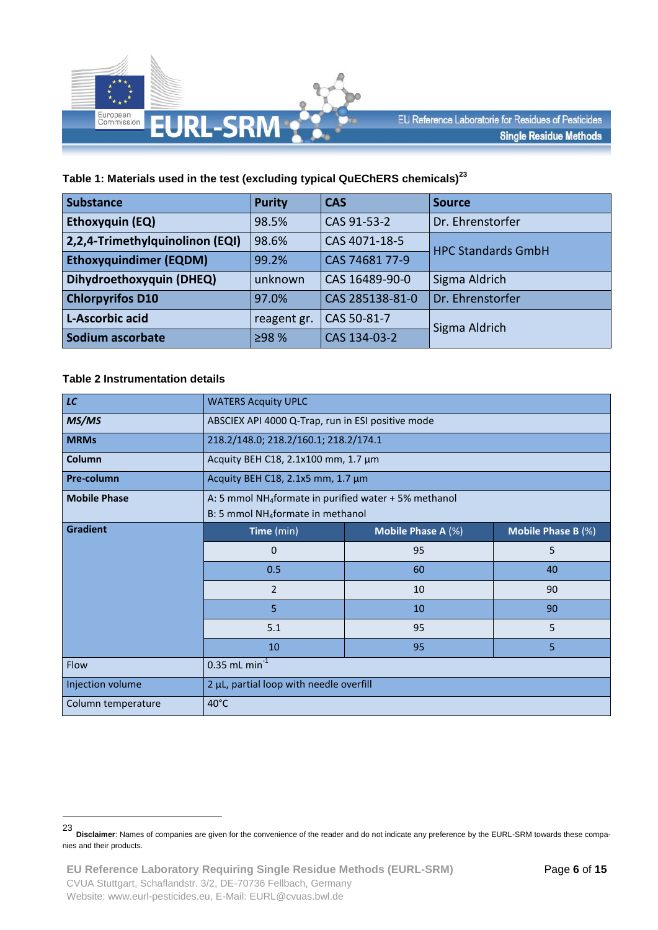

### **Table 1: Materials used in the test (excluding typical QuEChERS chemicals) 23**

| <b>Substance</b>                | <b>Purity</b> | <b>CAS</b>      | <b>Source</b>             |
|---------------------------------|---------------|-----------------|---------------------------|
| <b>Ethoxyquin (EQ)</b>          | 98.5%         | CAS 91-53-2     | Dr. Ehrenstorfer          |
| 2,2,4-Trimethylquinolinon (EQI) | 98.6%         | CAS 4071-18-5   | <b>HPC Standards GmbH</b> |
| <b>Ethoxyquindimer (EQDM)</b>   | 99.2%         | CAS 74681 77-9  |                           |
| Dihydroethoxyquin (DHEQ)        | unknown       | CAS 16489-90-0  | Sigma Aldrich             |
| <b>Chlorpyrifos D10</b>         | 97.0%         | CAS 285138-81-0 | Dr. Ehrenstorfer          |
| L-Ascorbic acid                 | reagent gr.   | CAS 50-81-7     | Sigma Aldrich             |
| Sodium ascorbate                | ≥98 %         | CAS 134-03-2    |                           |

#### **Table 2 Instrumentation details**

| LC                  | <b>WATERS Acquity UPLC</b>                                                                                         |    |    |  |  |  |
|---------------------|--------------------------------------------------------------------------------------------------------------------|----|----|--|--|--|
| MS/MS               | ABSCIEX API 4000 Q-Trap, run in ESI positive mode                                                                  |    |    |  |  |  |
| <b>MRMs</b>         | 218.2/148.0; 218.2/160.1; 218.2/174.1                                                                              |    |    |  |  |  |
| Column              | Acquity BEH C18, 2.1x100 mm, 1.7 μm                                                                                |    |    |  |  |  |
| Pre-column          | Acquity BEH C18, 2.1x5 mm, 1.7 µm                                                                                  |    |    |  |  |  |
| <b>Mobile Phase</b> | A: 5 mmol NH <sub>4</sub> formate in purified water + 5% methanol<br>B: 5 mmol NH <sub>4</sub> formate in methanol |    |    |  |  |  |
| <b>Gradient</b>     | Time (min)<br>Mobile Phase A (%)<br>Mobile Phase B (%)                                                             |    |    |  |  |  |
|                     | $\Omega$                                                                                                           | 95 | 5  |  |  |  |
|                     | 0.5                                                                                                                | 60 | 40 |  |  |  |
|                     | $\overline{2}$<br>10<br>90                                                                                         |    |    |  |  |  |
|                     | 5<br>10<br>90                                                                                                      |    |    |  |  |  |
|                     | 5.1<br>5<br>95                                                                                                     |    |    |  |  |  |
|                     | 5<br>10<br>95                                                                                                      |    |    |  |  |  |
| Flow                | $0.35$ mL min <sup>-1</sup>                                                                                        |    |    |  |  |  |
| Injection volume    | 2 µL, partial loop with needle overfill                                                                            |    |    |  |  |  |
| Column temperature  | 40°C                                                                                                               |    |    |  |  |  |

<sup>23</sup> **Disclaimer**: Names of companies are given for the convenience of the reader and do not indicate any preference by the EURL-SRM towards these companies and their products.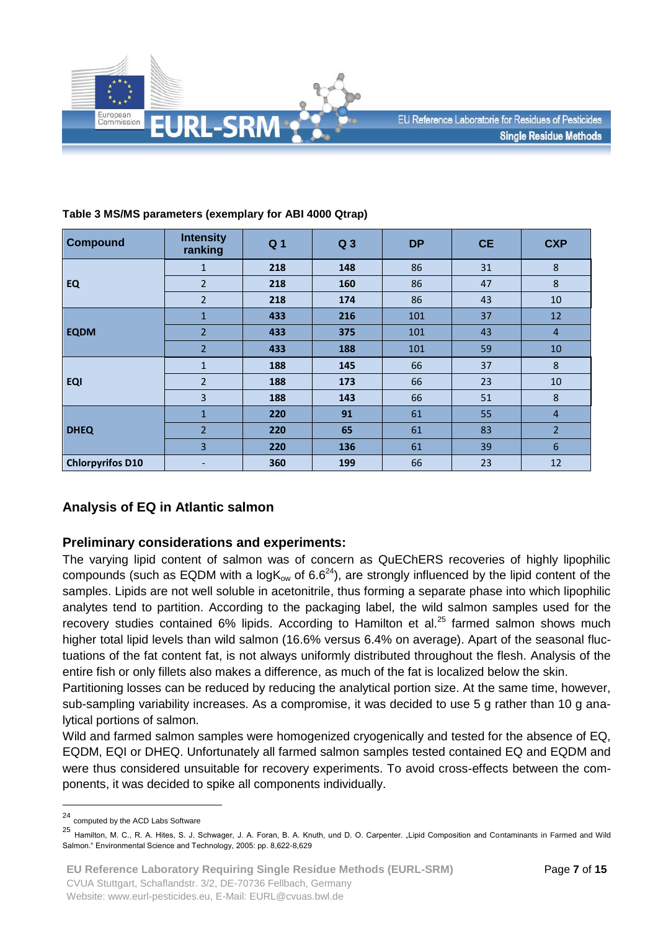

| <b>Compound</b>         | <b>Intensity</b><br>ranking | Q <sub>1</sub> | Q <sub>3</sub> | <b>DP</b> | <b>CE</b> | <b>CXP</b>     |
|-------------------------|-----------------------------|----------------|----------------|-----------|-----------|----------------|
|                         | 1                           | 218            | 148            | 86        | 31        | $\bf 8$        |
| <b>EQ</b>               | $\overline{2}$              | 218            | 160            | 86        | 47        | $\bf 8$        |
|                         | $\overline{2}$              | 218            | 174            | 86        | 43        | 10             |
|                         | $\mathbf{1}$                | 433            | 216            | 101       | 37        | 12             |
| <b>EQDM</b>             | $\overline{2}$              | 433            | 375            | 101       | 43        | $\overline{4}$ |
|                         | $\overline{2}$              | 433            | 188            | 101       | 59        | 10             |
| <b>EQI</b>              | $\mathbf{1}$                | 188            | 145            | 66        | 37        | $\bf 8$        |
|                         | $\overline{2}$              | 188            | 173            | 66        | 23        | 10             |
|                         | $\overline{\mathbf{3}}$     | 188            | 143            | 66        | 51        | $\bf 8$        |
|                         | $\mathbf{1}$                | 220            | 91             | 61        | 55        | $\overline{4}$ |
| <b>DHEQ</b>             | $\overline{2}$              | 220            | 65             | 61        | 83        | $\overline{2}$ |
|                         | 3                           | 220            | 136            | 61        | 39        | $\sqrt{6}$     |
| <b>Chlorpyrifos D10</b> | ٠                           | 360            | 199            | 66        | 23        | 12             |

### **Table 3 MS/MS parameters (exemplary for ABI 4000 Qtrap)**

## **Analysis of EQ in Atlantic salmon**

## **Preliminary considerations and experiments:**

The varying lipid content of salmon was of concern as QuEChERS recoveries of highly lipophilic compounds (such as EQDM with a log $K_{ow}$  of 6.6<sup>24</sup>), are strongly influenced by the lipid content of the samples. Lipids are not well soluble in acetonitrile, thus forming a separate phase into which lipophilic analytes tend to partition. According to the packaging label, the wild salmon samples used for the recovery studies contained 6% lipids. According to Hamilton et al.<sup>25</sup> farmed salmon shows much higher total lipid levels than wild salmon (16.6% versus 6.4% on average). Apart of the seasonal fluctuations of the fat content fat, is not always uniformly distributed throughout the flesh. Analysis of the entire fish or only fillets also makes a difference, as much of the fat is localized below the skin.

Partitioning losses can be reduced by reducing the analytical portion size. At the same time, however, sub-sampling variability increases. As a compromise, it was decided to use 5 g rather than 10 g analytical portions of salmon.

Wild and farmed salmon samples were homogenized cryogenically and tested for the absence of EQ, EQDM, EQI or DHEQ. Unfortunately all farmed salmon samples tested contained EQ and EQDM and were thus considered unsuitable for recovery experiments. To avoid cross-effects between the components, it was decided to spike all components individually.

<sup>24</sup> computed by the ACD Labs Software

<sup>&</sup>lt;sup>25</sup> Hamilton, M. C., R. A. Hites, S. J. Schwager, J. A. Foran, B. A. Knuth, und D. O. Carpenter. "Lipid Composition and Contaminants in Farmed and Wild Salmon." Environmental Science and Technology, 2005: pp. 8,622-8,629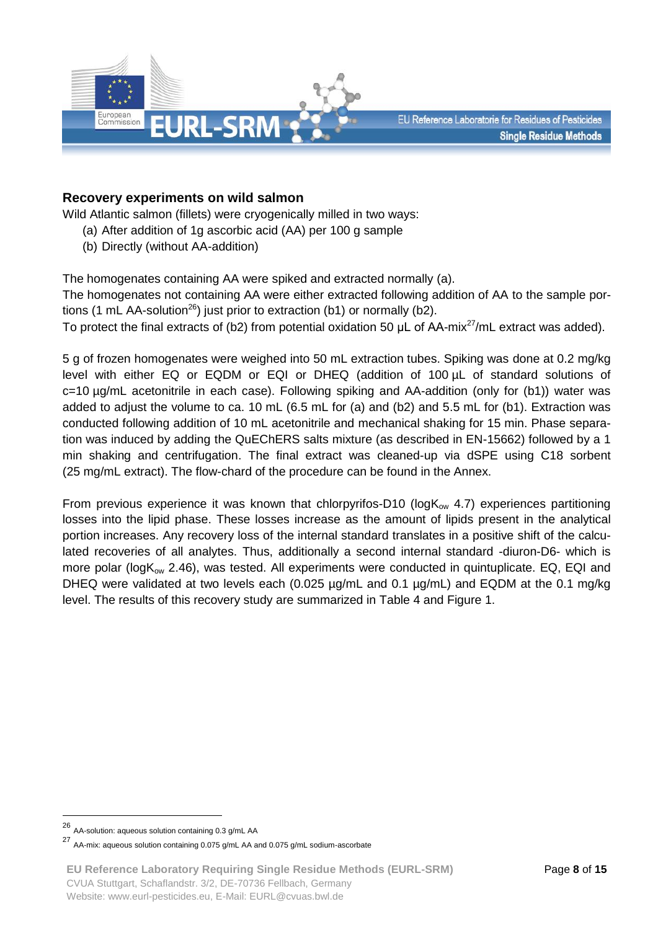

### **Recovery experiments on wild salmon**

Wild Atlantic salmon (fillets) were cryogenically milled in two ways:

- (a) After addition of 1g ascorbic acid (AA) per 100 g sample
- (b) Directly (without AA-addition)

The homogenates containing AA were spiked and extracted normally (a).

The homogenates not containing AA were either extracted following addition of AA to the sample portions (1 mL AA-solution<sup>26</sup>) just prior to extraction (b1) or normally (b2).

To protect the final extracts of (b2) from potential oxidation 50  $\mu$ L of AA-mix<sup>27</sup>/mL extract was added).

5 g of frozen homogenates were weighed into 50 mL extraction tubes. Spiking was done at 0.2 mg/kg level with either EQ or EQDM or EQI or DHEQ (addition of 100 µL of standard solutions of c=10 µg/mL acetonitrile in each case). Following spiking and AA-addition (only for (b1)) water was added to adjust the volume to ca. 10 mL (6.5 mL for (a) and (b2) and 5.5 mL for (b1). Extraction was conducted following addition of 10 mL acetonitrile and mechanical shaking for 15 min. Phase separation was induced by adding the QuEChERS salts mixture (as described in EN-15662) followed by a 1 min shaking and centrifugation. The final extract was cleaned-up via dSPE using C18 sorbent (25 mg/mL extract). The flow-chard of the procedure can be found in the Annex.

From previous experience it was known that chlorpyrifos-D10 ( $log K<sub>ow</sub>$  4.7) experiences partitioning losses into the lipid phase. These losses increase as the amount of lipids present in the analytical portion increases. Any recovery loss of the internal standard translates in a positive shift of the calculated recoveries of all analytes. Thus, additionally a second internal standard -diuron-D6- which is more polar (logK<sub>ow</sub> 2.46), was tested. All experiments were conducted in quintuplicate. EQ, EQI and DHEQ were validated at two levels each (0.025 µg/mL and 0.1 µg/mL) and EQDM at the 0.1 mg/kg level. The results of this recovery study are summarized in Table 4 and Figure 1.

<u>.</u>

<sup>26</sup> AA-solution: aqueous solution containing 0.3 g/mL AA

<sup>27</sup> AA-mix: aqueous solution containing 0.075 g/mL AA and 0.075 g/mL sodium-ascorbate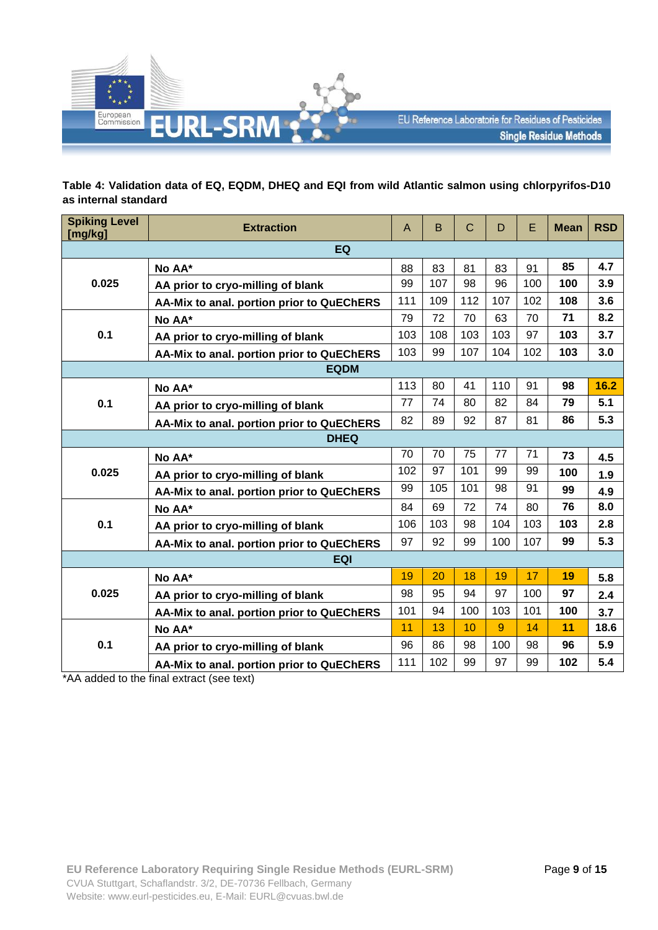

### **Table 4: Validation data of EQ, EQDM, DHEQ and EQI from wild Atlantic salmon using chlorpyrifos-D10 as internal standard**

| <b>Spiking Level</b><br>[mg/kg]           | <b>Extraction</b>                         | A   | B   | $\mathsf C$ | D   | E   | <b>Mean</b> | <b>RSD</b> |
|-------------------------------------------|-------------------------------------------|-----|-----|-------------|-----|-----|-------------|------------|
|                                           | EQ                                        |     |     |             |     |     |             |            |
|                                           | No AA*                                    | 88  | 83  | 81          | 83  | 91  | 85          | 4.7        |
| 0.025                                     | AA prior to cryo-milling of blank         | 99  | 107 | 98          | 96  | 100 | 100         | 3.9        |
|                                           | AA-Mix to anal. portion prior to QuEChERS | 111 | 109 | 112         | 107 | 102 | 108         | 3.6        |
|                                           | No AA*                                    | 79  | 72  | 70          | 63  | 70  | 71          | 8.2        |
| 0.1                                       | AA prior to cryo-milling of blank         | 103 | 108 | 103         | 103 | 97  | 103         | 3.7        |
|                                           | AA-Mix to anal. portion prior to QuEChERS | 103 | 99  | 107         | 104 | 102 | 103         | 3.0        |
|                                           | <b>EQDM</b>                               |     |     |             |     |     |             |            |
|                                           | No AA*                                    | 113 | 80  | 41          | 110 | 91  | 98          | 16.2       |
| 0.1                                       | AA prior to cryo-milling of blank         | 77  | 74  | 80          | 82  | 84  | 79          | 5.1        |
| AA-Mix to anal. portion prior to QuEChERS |                                           | 82  | 89  | 92          | 87  | 81  | 86          | 5.3        |
| <b>DHEQ</b>                               |                                           |     |     |             |     |     |             |            |
| 0.025                                     | No AA*                                    | 70  | 70  | 75          | 77  | 71  | 73          | 4.5        |
|                                           | AA prior to cryo-milling of blank         | 102 | 97  | 101         | 99  | 99  | 100         | 1.9        |
|                                           | AA-Mix to anal. portion prior to QuEChERS | 99  | 105 | 101         | 98  | 91  | 99          | 4.9        |
|                                           | No AA*                                    | 84  | 69  | 72          | 74  | 80  | 76          | 8.0        |
| 0.1                                       | AA prior to cryo-milling of blank         | 106 | 103 | 98          | 104 | 103 | 103         | 2.8        |
|                                           | AA-Mix to anal. portion prior to QuEChERS | 97  | 92  | 99          | 100 | 107 | 99          | 5.3        |
| <b>EQI</b>                                |                                           |     |     |             |     |     |             |            |
|                                           | No AA*                                    | 19  | 20  | 18          | 19  | 17  | 19          | 5.8        |
| 0.025                                     | AA prior to cryo-milling of blank         | 98  | 95  | 94          | 97  | 100 | 97          | 2.4        |
|                                           | AA-Mix to anal. portion prior to QuEChERS | 101 | 94  | 100         | 103 | 101 | 100         | 3.7        |
|                                           | No AA*                                    | 11  | 13  | 10          | 9   | 14  | 11          | 18.6       |
| 0.1                                       | AA prior to cryo-milling of blank         | 96  | 86  | 98          | 100 | 98  | 96          | 5.9        |
|                                           | AA-Mix to anal. portion prior to QuEChERS | 111 | 102 | 99          | 97  | 99  | 102         | 5.4        |

\*AA added to the final extract (see text)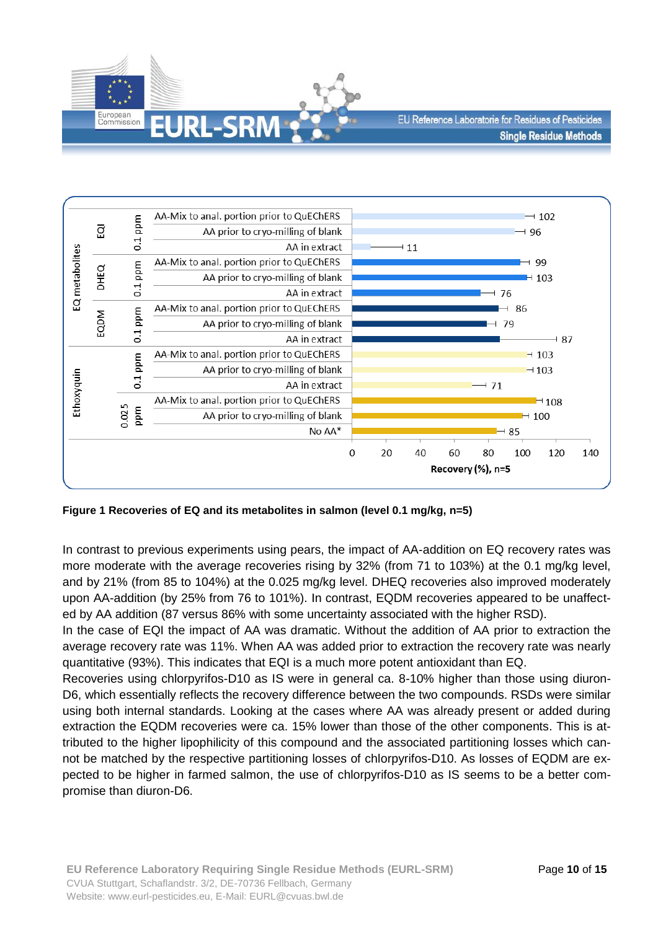



**Figure 1 Recoveries of EQ and its metabolites in salmon (level 0.1 mg/kg, n=5)**

In contrast to previous experiments using pears, the impact of AA-addition on EQ recovery rates was more moderate with the average recoveries rising by 32% (from 71 to 103%) at the 0.1 mg/kg level, and by 21% (from 85 to 104%) at the 0.025 mg/kg level. DHEQ recoveries also improved moderately upon AA-addition (by 25% from 76 to 101%). In contrast, EQDM recoveries appeared to be unaffected by AA addition (87 versus 86% with some uncertainty associated with the higher RSD).

In the case of EQI the impact of AA was dramatic. Without the addition of AA prior to extraction the average recovery rate was 11%. When AA was added prior to extraction the recovery rate was nearly quantitative (93%). This indicates that EQI is a much more potent antioxidant than EQ.

Recoveries using chlorpyrifos-D10 as IS were in general ca. 8-10% higher than those using diuron-D6, which essentially reflects the recovery difference between the two compounds. RSDs were similar using both internal standards. Looking at the cases where AA was already present or added during extraction the EQDM recoveries were ca. 15% lower than those of the other components. This is attributed to the higher lipophilicity of this compound and the associated partitioning losses which cannot be matched by the respective partitioning losses of chlorpyrifos-D10. As losses of EQDM are expected to be higher in farmed salmon, the use of chlorpyrifos-D10 as IS seems to be a better compromise than diuron-D6.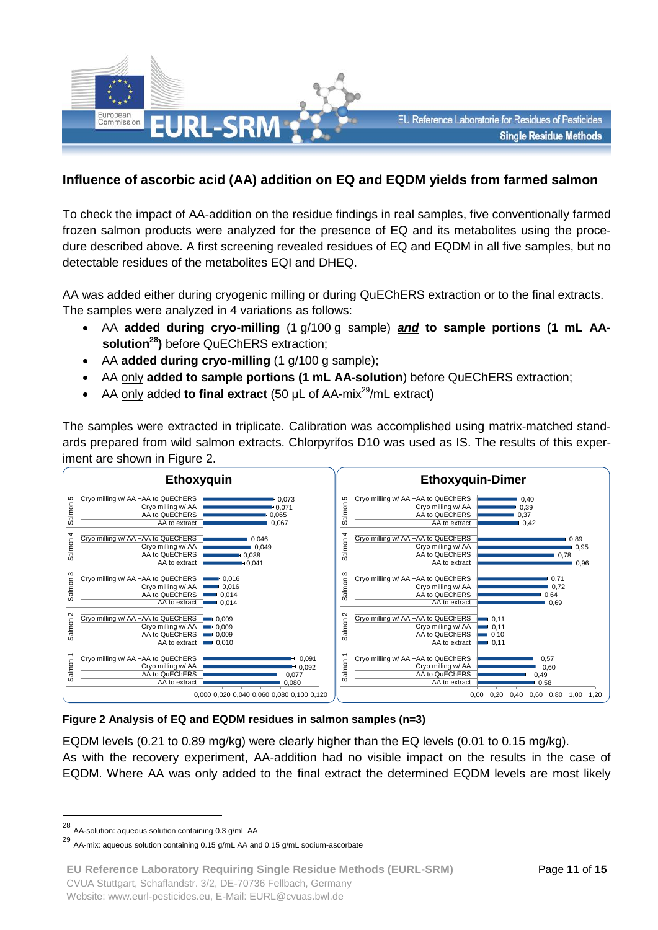

## **Influence of ascorbic acid (AA) addition on EQ and EQDM yields from farmed salmon**

To check the impact of AA-addition on the residue findings in real samples, five conventionally farmed frozen salmon products were analyzed for the presence of EQ and its metabolites using the procedure described above. A first screening revealed residues of EQ and EQDM in all five samples, but no detectable residues of the metabolites EQI and DHEQ.

AA was added either during cryogenic milling or during QuEChERS extraction or to the final extracts. The samples were analyzed in 4 variations as follows:

- AA **added during cryo-milling** (1 g/100 g sample) *and* **to sample portions (1 mL AAsolution<sup>28</sup>)** before QuEChERS extraction;
- AA **added during cryo-milling** (1 g/100 g sample);
- AA only **added to sample portions (1 mL AA-solution**) before QuEChERS extraction;
- AA only added **to final extract** (50 μL of AA-mix<sup>29</sup>/mL extract)

The samples were extracted in triplicate. Calibration was accomplished using matrix-matched standards prepared from wild salmon extracts. Chlorpyrifos D10 was used as IS. The results of this experiment are shown in Figure 2.



#### **Figure 2 Analysis of EQ and EQDM residues in salmon samples (n=3)**

EQDM levels (0.21 to 0.89 mg/kg) were clearly higher than the EQ levels (0.01 to 0.15 mg/kg). As with the recovery experiment, AA-addition had no visible impact on the results in the case of EQDM. Where AA was only added to the final extract the determined EQDM levels are most likely

<u>.</u>

**EU Reference Laboratory Requiring Single Residue Methods (EURL-SRM)** CVUA Stuttgart, Schaflandstr. 3/2, DE-70736 Fellbach, Germany Website: www.eurl-pesticides.eu, E-Mail: EURL@cvuas.bwl.de

<sup>28</sup> AA-solution: aqueous solution containing 0.3 g/mL AA

<sup>29</sup> AA-mix: aqueous solution containing 0.15 g/mL AA and 0.15 g/mL sodium-ascorbate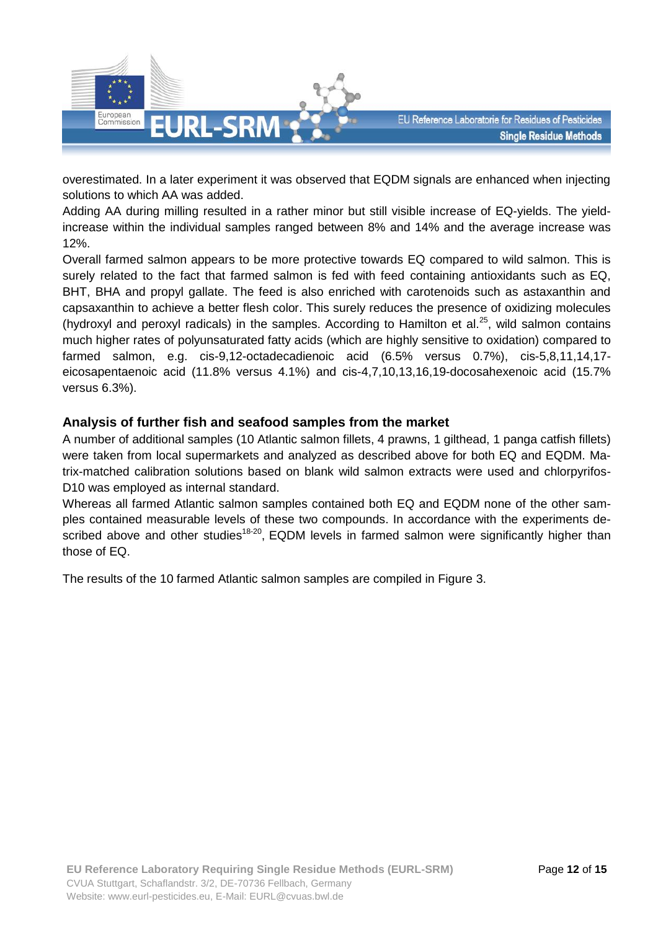

overestimated. In a later experiment it was observed that EQDM signals are enhanced when injecting solutions to which AA was added.

Adding AA during milling resulted in a rather minor but still visible increase of EQ-yields. The yieldincrease within the individual samples ranged between 8% and 14% and the average increase was 12%.

Overall farmed salmon appears to be more protective towards EQ compared to wild salmon. This is surely related to the fact that farmed salmon is fed with feed containing antioxidants such as EQ, BHT, BHA and propyl gallate. The feed is also enriched with carotenoids such as astaxanthin and capsaxanthin to achieve a better flesh color. This surely reduces the presence of oxidizing molecules (hydroxyl and peroxyl radicals) in the samples. According to Hamilton et al.<sup>25</sup>, wild salmon contains much higher rates of polyunsaturated fatty acids (which are highly sensitive to oxidation) compared to farmed salmon, e.g. cis-9,12-octadecadienoic acid (6.5% versus 0.7%), cis-5,8,11,14,17 eicosapentaenoic acid (11.8% versus 4.1%) and cis-4,7,10,13,16,19-docosahexenoic acid (15.7% versus 6.3%).

### **Analysis of further fish and seafood samples from the market**

A number of additional samples (10 Atlantic salmon fillets, 4 prawns, 1 gilthead, 1 panga catfish fillets) were taken from local supermarkets and analyzed as described above for both EQ and EQDM. Matrix-matched calibration solutions based on blank wild salmon extracts were used and chlorpyrifos-D10 was employed as internal standard.

Whereas all farmed Atlantic salmon samples contained both EQ and EQDM none of the other samples contained measurable levels of these two compounds. In accordance with the experiments described above and other studies<sup>18-20</sup>, EQDM levels in farmed salmon were significantly higher than those of EQ.

The results of the 10 farmed Atlantic salmon samples are compiled in Figure 3.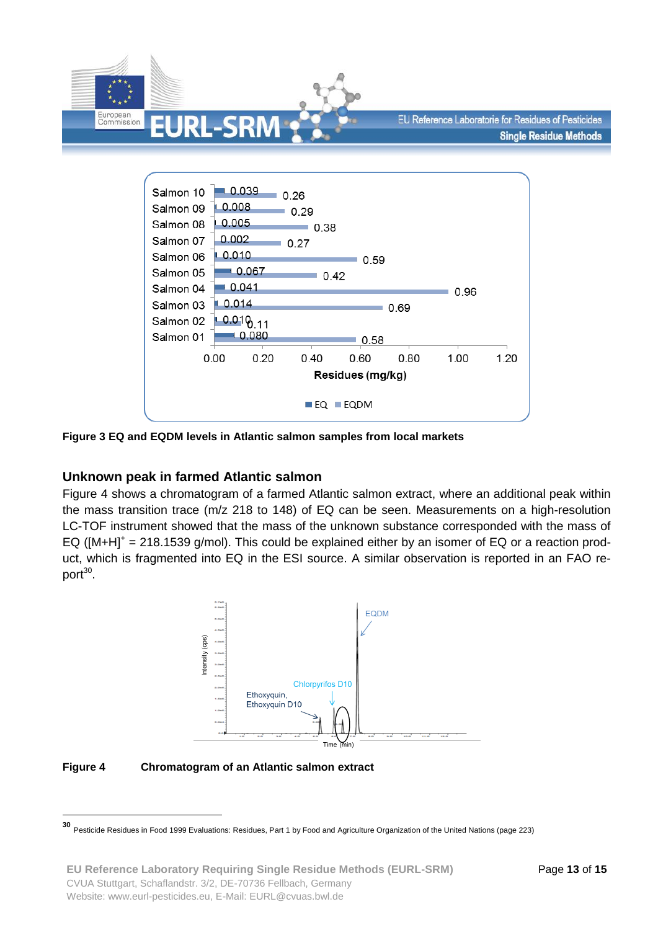



**Figure 3 EQ and EQDM levels in Atlantic salmon samples from local markets**

## **Unknown peak in farmed Atlantic salmon**

Figure 4 shows a chromatogram of a farmed Atlantic salmon extract, where an additional peak within the mass transition trace (m/z 218 to 148) of EQ can be seen. Measurements on a high-resolution LC-TOF instrument showed that the mass of the unknown substance corresponded with the mass of EQ ( $[M+H]^+=218.1539$  g/mol). This could be explained either by an isomer of EQ or a reaction product, which is fragmented into EQ in the ESI source. A similar observation is reported in an FAO report<sup>30</sup>.



**Figure 4 Chromatogram of an Atlantic salmon extract**

 **30** Pesticide Residues in Food 1999 Evaluations: Residues, Part 1 by Food and Agriculture Organization of the United Nations (page 223)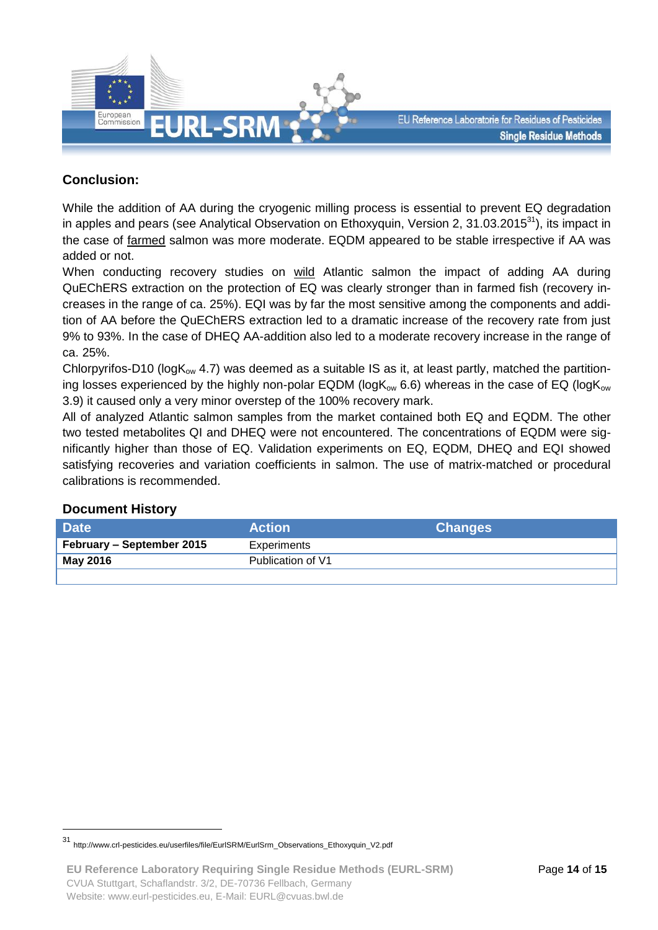

## **Conclusion:**

While the addition of AA during the cryogenic milling process is essential to prevent EQ degradation in apples and pears (see Analytical Observation on Ethoxyquin, Version 2, 31.03.2015 $^{31}$ ), its impact in the case of farmed salmon was more moderate. EQDM appeared to be stable irrespective if AA was added or not.

When conducting recovery studies on wild Atlantic salmon the impact of adding AA during QuEChERS extraction on the protection of EQ was clearly stronger than in farmed fish (recovery increases in the range of ca. 25%). EQI was by far the most sensitive among the components and addition of AA before the QuEChERS extraction led to a dramatic increase of the recovery rate from just 9% to 93%. In the case of DHEQ AA-addition also led to a moderate recovery increase in the range of ca. 25%.

Chlorpyrifos-D10 ( $logK_{ow}$  4.7) was deemed as a suitable IS as it, at least partly, matched the partitioning losses experienced by the highly non-polar EQDM ( $log K_{ow}$  6.6) whereas in the case of EQ ( $log K_{ow}$ 3.9) it caused only a very minor overstep of the 100% recovery mark.

All of analyzed Atlantic salmon samples from the market contained both EQ and EQDM. The other two tested metabolites QI and DHEQ were not encountered. The concentrations of EQDM were significantly higher than those of EQ. Validation experiments on EQ, EQDM, DHEQ and EQI showed satisfying recoveries and variation coefficients in salmon. The use of matrix-matched or procedural calibrations is recommended.

#### **Document History**

| <b>Date</b>               | <b>Action</b>     | <b>Changes</b> |
|---------------------------|-------------------|----------------|
| February – September 2015 | Experiments       |                |
| May 2016                  | Publication of V1 |                |
|                           |                   |                |

<sup>31</sup> http://www.crl-pesticides.eu/userfiles/file/EurlSRM/EurlSrm\_Observations\_Ethoxyquin\_V2.pdf